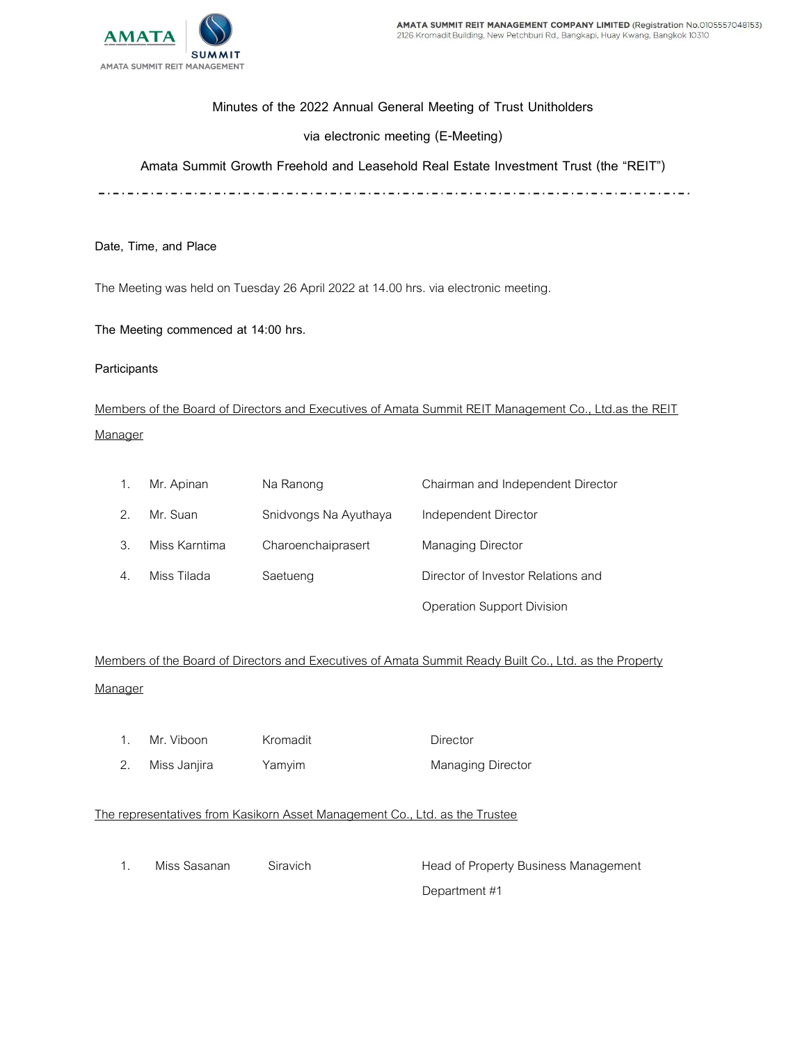

## Minutes of the 2022 Annual General Meeting of Trust Unitholders

## via electronic meeting (E-Meeting)

Amata Summit Growth Freehold and Leasehold Real Estate Investment Trust (the "REIT")

Date, Time, and Place

The Meeting was held on Tuesday 26 April 2022 at 14.00 hrs. via electronic meeting.

The Meeting commenced at 14:00 hrs.

## Participants

Members of the Board of Directors and Executives of Amata Summit REIT Management Co., Ltd.as the REIT **Manager** 

|                       | Mr. Apinan    | Na Ranong             | Chairman and Independent Director  |  |
|-----------------------|---------------|-----------------------|------------------------------------|--|
|                       | Mr. Suan      | Snidvongs Na Ayuthaya | Independent Director               |  |
| З.                    | Miss Karntima | Charoenchaiprasert    | Managing Director                  |  |
| $\mathcal{A}_{\cdot}$ | Miss Tilada   | Saetueng              | Director of Investor Relations and |  |
|                       |               |                       | Operation Support Division         |  |

Members of the Board of Directors and Executives of Amata Summit Ready Built Co., Ltd. as the Property **Manager** 

- 1. Mr. Viboon Kromadit **Director** 
	-

2. Miss Janjira Yamyim Managing Director

## The representatives from Kasikorn Asset Management Co., Ltd. as the Trustee

1. Miss Sasanan Siravich Head of Property Business Management Department #1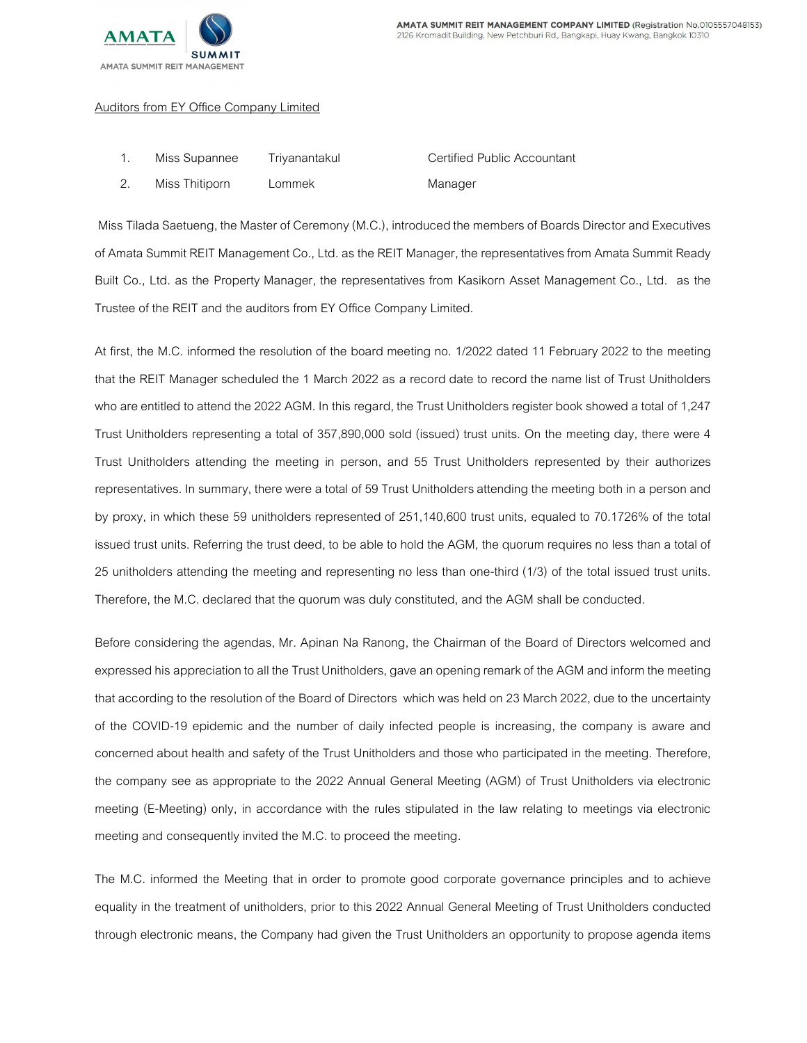

#### Auditors from EY Office Company Limited

| Miss Supannee  | Triyanantakul | Certified Public Accountant |
|----------------|---------------|-----------------------------|
| Miss Thitiporn | Lommek        | Manager                     |

 Miss Tilada Saetueng, the Master of Ceremony (M.C.), introduced the members of Boards Director and Executives of Amata Summit REIT Management Co., Ltd. as the REIT Manager, the representatives from Amata Summit Ready Built Co., Ltd. as the Property Manager, the representatives from Kasikorn Asset Management Co., Ltd. as the Trustee of the REIT and the auditors from EY Office Company Limited.

At first, the M.C. informed the resolution of the board meeting no. 1/2022 dated 11 February 2022 to the meeting that the REIT Manager scheduled the 1 March 2022 as a record date to record the name list of Trust Unitholders who are entitled to attend the 2022 AGM. In this regard, the Trust Unitholders register book showed a total of 1,247 Trust Unitholders representing a total of 357,890,000 sold (issued) trust units. On the meeting day, there were 4 Trust Unitholders attending the meeting in person, and 55 Trust Unitholders represented by their authorizes representatives. In summary, there were a total of 59 Trust Unitholders attending the meeting both in a person and by proxy, in which these 59 unitholders represented of 251,140,600 trust units, equaled to 70.1726% of the total issued trust units. Referring the trust deed, to be able to hold the AGM, the quorum requires no less than a total of 25 unitholders attending the meeting and representing no less than one-third (1/3) of the total issued trust units. Therefore, the M.C. declared that the quorum was duly constituted, and the AGM shall be conducted.

Before considering the agendas, Mr. Apinan Na Ranong, the Chairman of the Board of Directors welcomed and expressed his appreciation to all the Trust Unitholders, gave an opening remark of the AGM and inform the meeting that according to the resolution of the Board of Directors which was held on 23 March 2022, due to the uncertainty of the COVID-19 epidemic and the number of daily infected people is increasing, the company is aware and concerned about health and safety of the Trust Unitholders and those who participated in the meeting. Therefore, the company see as appropriate to the 2022 Annual General Meeting (AGM) of Trust Unitholders via electronic meeting (E-Meeting) only, in accordance with the rules stipulated in the law relating to meetings via electronic meeting and consequently invited the M.C. to proceed the meeting.

The M.C. informed the Meeting that in order to promote good corporate governance principles and to achieve equality in the treatment of unitholders, prior to this 2022 Annual General Meeting of Trust Unitholders conducted through electronic means, the Company had given the Trust Unitholders an opportunity to propose agenda items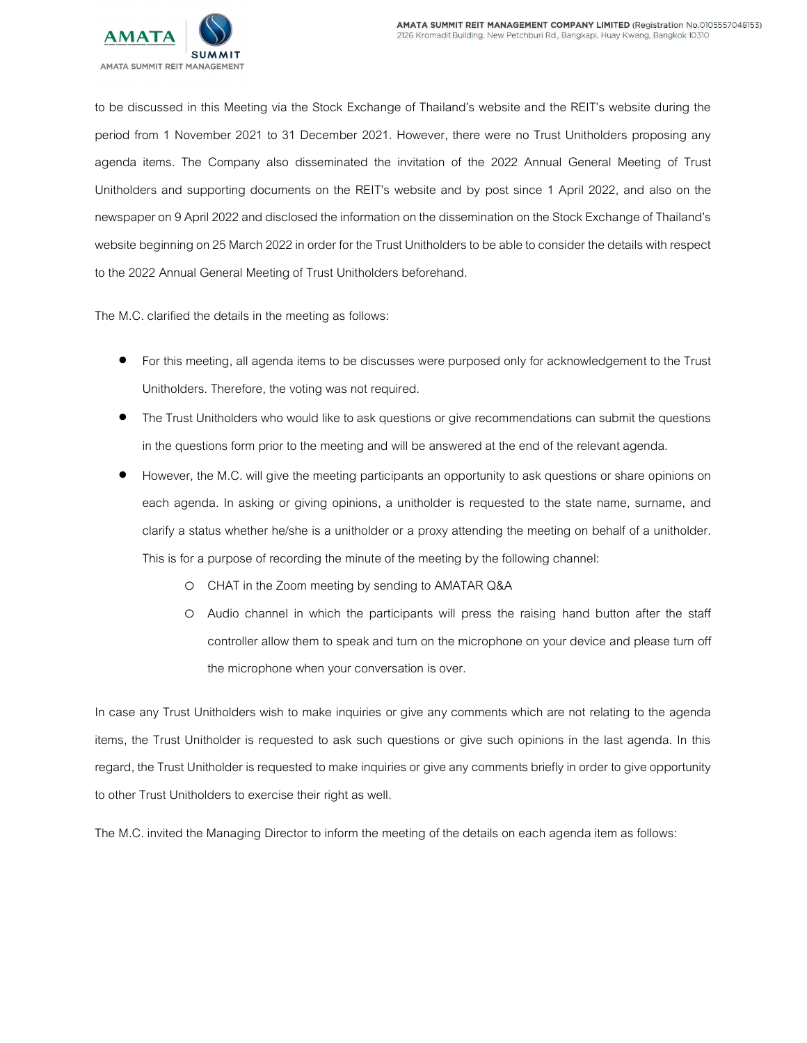

to be discussed in this Meeting via the Stock Exchange of Thailand's website and the REIT's website during the period from 1 November 2021 to 31 December 2021. However, there were no Trust Unitholders proposing any agenda items. The Company also disseminated the invitation of the 2022 Annual General Meeting of Trust Unitholders and supporting documents on the REIT's website and by post since 1 April 2022, and also on the newspaper on 9 April 2022 and disclosed the information on the dissemination on the Stock Exchange of Thailand's website beginning on 25 March 2022 in order for the Trust Unitholders to be able to consider the details with respect to the 2022 Annual General Meeting of Trust Unitholders beforehand.

The M.C. clarified the details in the meeting as follows:

- For this meeting, all agenda items to be discusses were purposed only for acknowledgement to the Trust Unitholders. Therefore, the voting was not required.
- **•** The Trust Unitholders who would like to ask questions or give recommendations can submit the questions in the questions form prior to the meeting and will be answered at the end of the relevant agenda.
- However, the M.C. will give the meeting participants an opportunity to ask questions or share opinions on each agenda. In asking or giving opinions, a unitholder is requested to the state name, surname, and clarify a status whether he/she is a unitholder or a proxy attending the meeting on behalf of a unitholder. This is for a purpose of recording the minute of the meeting by the following channel:
	- o CHAT in the Zoom meeting by sending to AMATAR Q&A
	- o Audio channel in which the participants will press the raising hand button after the staff controller allow them to speak and turn on the microphone on your device and please turn off the microphone when your conversation is over.

In case any Trust Unitholders wish to make inquiries or give any comments which are not relating to the agenda items, the Trust Unitholder is requested to ask such questions or give such opinions in the last agenda. In this regard, the Trust Unitholder is requested to make inquiries or give any comments briefly in order to give opportunity to other Trust Unitholders to exercise their right as well.

The M.C. invited the Managing Director to inform the meeting of the details on each agenda item as follows: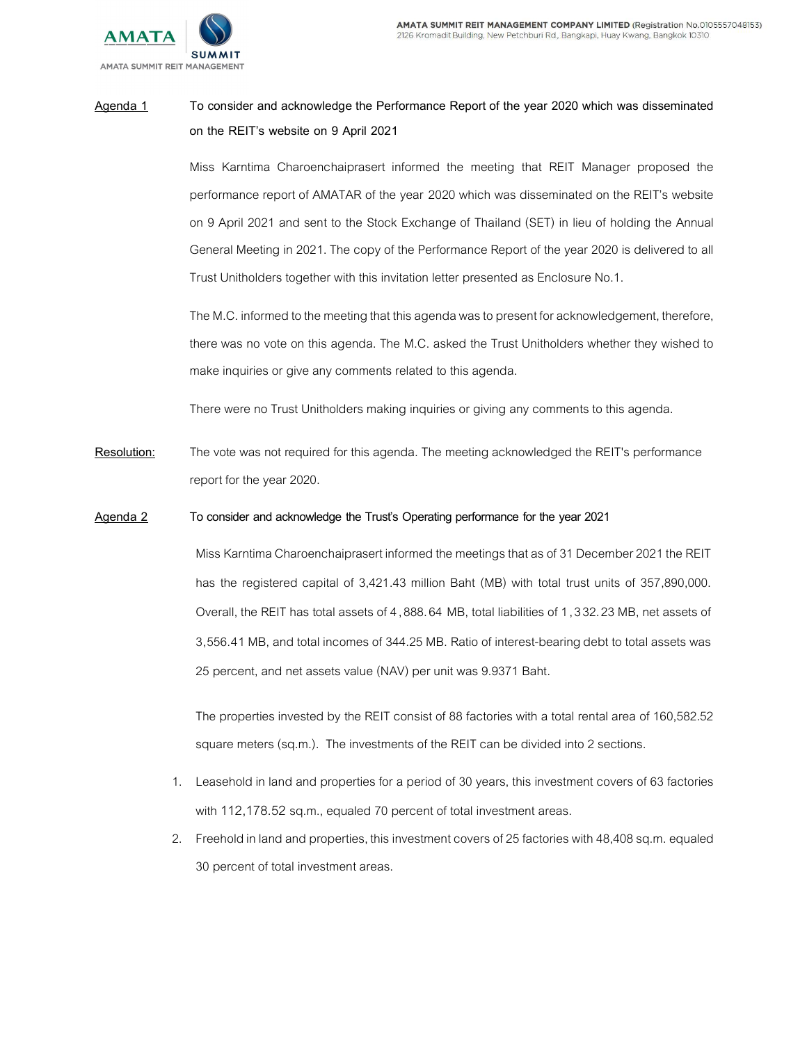



# Agenda 1 To consider and acknowledge the Performance Report of the year 2020 which was disseminated on the REIT's website on 9 April 2021

Miss Karntima Charoenchaiprasert informed the meeting that REIT Manager proposed the performance report of AMATAR of the year 2020 which was disseminated on the REIT's website on 9 April 2021 and sent to the Stock Exchange of Thailand (SET) in lieu of holding the Annual General Meeting in 2021. The copy of the Performance Report of the year 2020 is delivered to all Trust Unitholders together with this invitation letter presented as Enclosure No.1.

The M.C. informed to the meeting that this agenda was to present for acknowledgement, therefore, there was no vote on this agenda. The M.C. asked the Trust Unitholders whether they wished to make inquiries or give any comments related to this agenda.

There were no Trust Unitholders making inquiries or giving any comments to this agenda.

Resolution: The vote was not required for this agenda. The meeting acknowledged the REIT's performance report for the year 2020.

## Agenda 2 To consider and acknowledge the Trust's Operating performance for the year 2021

Miss Karntima Charoenchaiprasert informed the meetings that as of 31 December 2021 the REIT has the registered capital of 3,421.43 million Baht (MB) with total trust units of 357,890,000. Overall, the REIT has total assets of 4,888.64 MB, total liabilities of 1,3 32.23 MB, net assets of 3,556.41 MB, and total incomes of 344.25 MB. Ratio of interest-bearing debt to total assets was 25 percent, and net assets value (NAV) per unit was 9.9371 Baht.

The properties invested by the REIT consist of 88 factories with a total rental area of 160,582.52 square meters (sq.m.). The investments of the REIT can be divided into 2 sections.

- 1. Leasehold in land and properties for a period of 30 years, this investment covers of 63 factories with 112,178.52 sq.m., equaled 70 percent of total investment areas.
- 2. Freehold in land and properties, this investment covers of 25 factories with 48,408 sq.m. equaled 30 percent of total investment areas.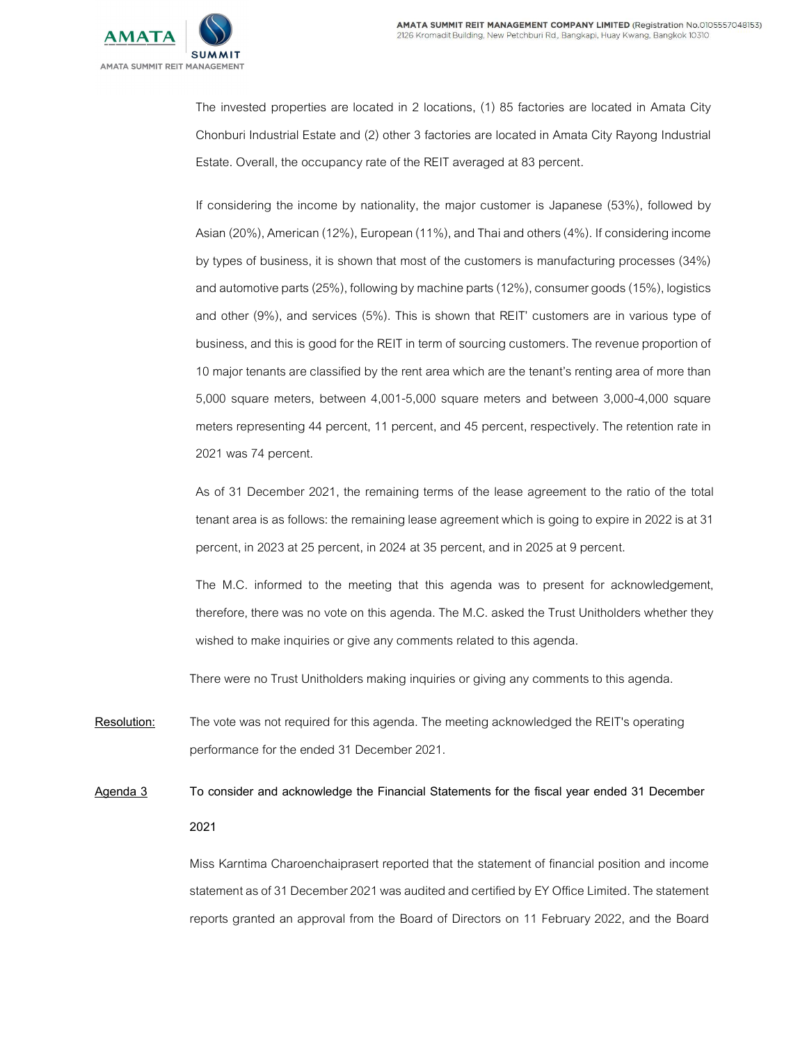

The invested properties are located in 2 locations, (1) 85 factories are located in Amata City Chonburi Industrial Estate and (2) other 3 factories are located in Amata City Rayong Industrial Estate. Overall, the occupancy rate of the REIT averaged at 83 percent.

If considering the income by nationality, the major customer is Japanese (53%), followed by Asian (20%), American (12%), European (11%), and Thai and others (4%). If considering income by types of business, it is shown that most of the customers is manufacturing processes (34%) and automotive parts (25%), following by machine parts (12%), consumer goods (15%), logistics and other (9%), and services (5%). This is shown that REIT' customers are in various type of business, and this is good for the REIT in term of sourcing customers. The revenue proportion of 10 major tenants are classified by the rent area which are the tenant's renting area of more than 5,000 square meters, between 4,001-5,000 square meters and between 3,000-4,000 square meters representing 44 percent, 11 percent, and 45 percent, respectively. The retention rate in 2021 was 74 percent.

As of 31 December 2021, the remaining terms of the lease agreement to the ratio of the total tenant area is as follows: the remaining lease agreement which is going to expire in 2022 is at 31 percent, in 2023 at 25 percent, in 2024 at 35 percent, and in 2025 at 9 percent.

The M.C. informed to the meeting that this agenda was to present for acknowledgement, therefore, there was no vote on this agenda. The M.C. asked the Trust Unitholders whether they wished to make inquiries or give any comments related to this agenda.

There were no Trust Unitholders making inquiries or giving any comments to this agenda.

- Resolution: The vote was not required for this agenda. The meeting acknowledged the REIT's operating performance for the ended 31 December 2021.
- Agenda 3 To consider and acknowledge the Financial Statements for the fiscal year ended 31 December 2021

Miss Karntima Charoenchaiprasert reported that the statement of financial position and income statement as of 31 December 2021 was audited and certified by EY Office Limited. The statement reports granted an approval from the Board of Directors on 11 February 2022, and the Board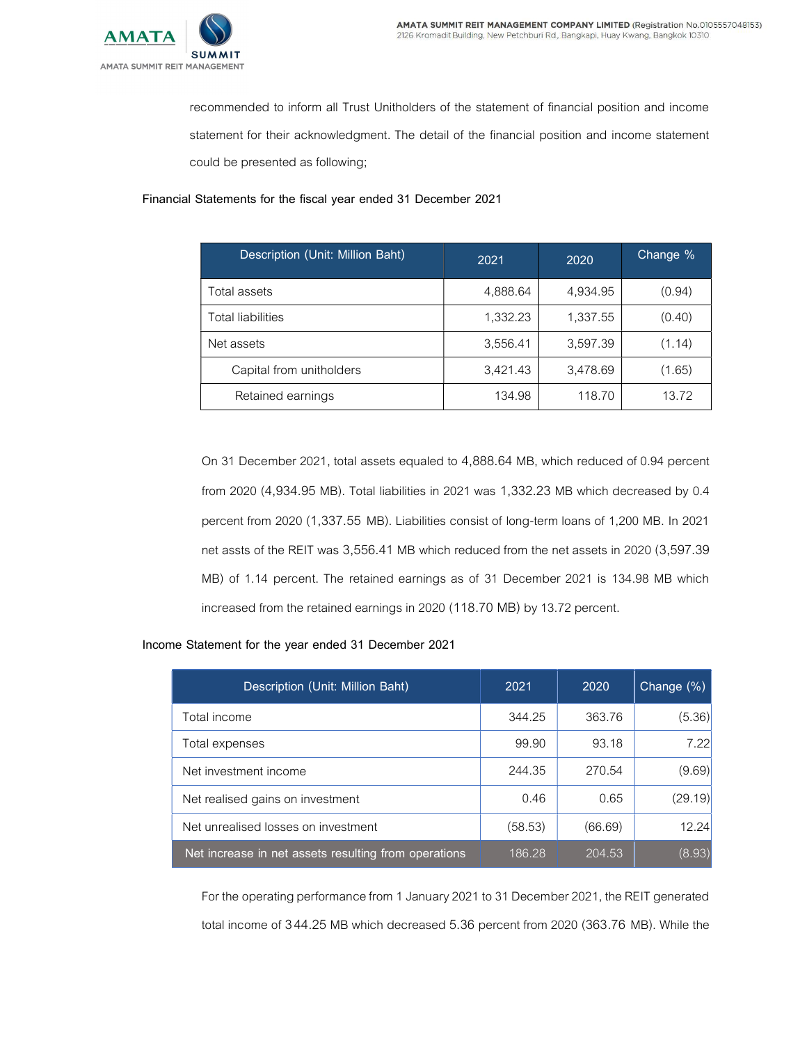

recommended to inform all Trust Unitholders of the statement of financial position and income statement for their acknowledgment. The detail of the financial position and income statement could be presented as following;

Financial Statements for the fiscal year ended 31 December 2021

| Description (Unit: Million Baht) | 2021     | 2020     | Change % |
|----------------------------------|----------|----------|----------|
| Total assets                     | 4,888.64 | 4,934.95 | (0.94)   |
| Total liabilities                | 1,332.23 | 1,337.55 | (0.40)   |
| Net assets                       | 3,556.41 | 3,597.39 | (1.14)   |
| Capital from unitholders         | 3,421.43 | 3,478.69 | (1.65)   |
| Retained earnings                | 134.98   | 118.70   | 13.72    |

On 31 December 2021, total assets equaled to 4,888.64 MB, which reduced of 0.94 percent from 2020 (4,934.95 MB). Total liabilities in 2021 was 1,332.23 MB which decreased by 0.4 percent from 2020 (1,337.55 MB). Liabilities consist of long-term loans of 1,200 MB. In 2021 net assts of the REIT was 3,556.41 MB which reduced from the net assets in 2020 (3,597.39 MB) of 1.14 percent. The retained earnings as of 31 December 2021 is 134.98 MB which increased from the retained earnings in 2020 (118.70 MB) by 13.72 percent.

## Income Statement for the year ended 31 December 2021

| Description (Unit: Million Baht)                     | 2021    | 2020    | Change $(\%)$ |
|------------------------------------------------------|---------|---------|---------------|
| Total income                                         | 344.25  | 363.76  | (5.36)        |
| Total expenses                                       | 99.90   | 93.18   | 7.22          |
| Net investment income                                | 244.35  | 270.54  | (9.69)        |
| Net realised gains on investment                     | 0.46    | 0.65    | (29.19)       |
| Net unrealised losses on investment                  | (58.53) | (66.69) | 12.24         |
| Net increase in net assets resulting from operations | 186.28  | 204.53  | (8.93)        |

For the operating performance from 1 January 2021 to 31 December 2021, the REIT generated total income of 3 44.25 MB which decreased 5.36 percent from 2020 (363.76 MB). While the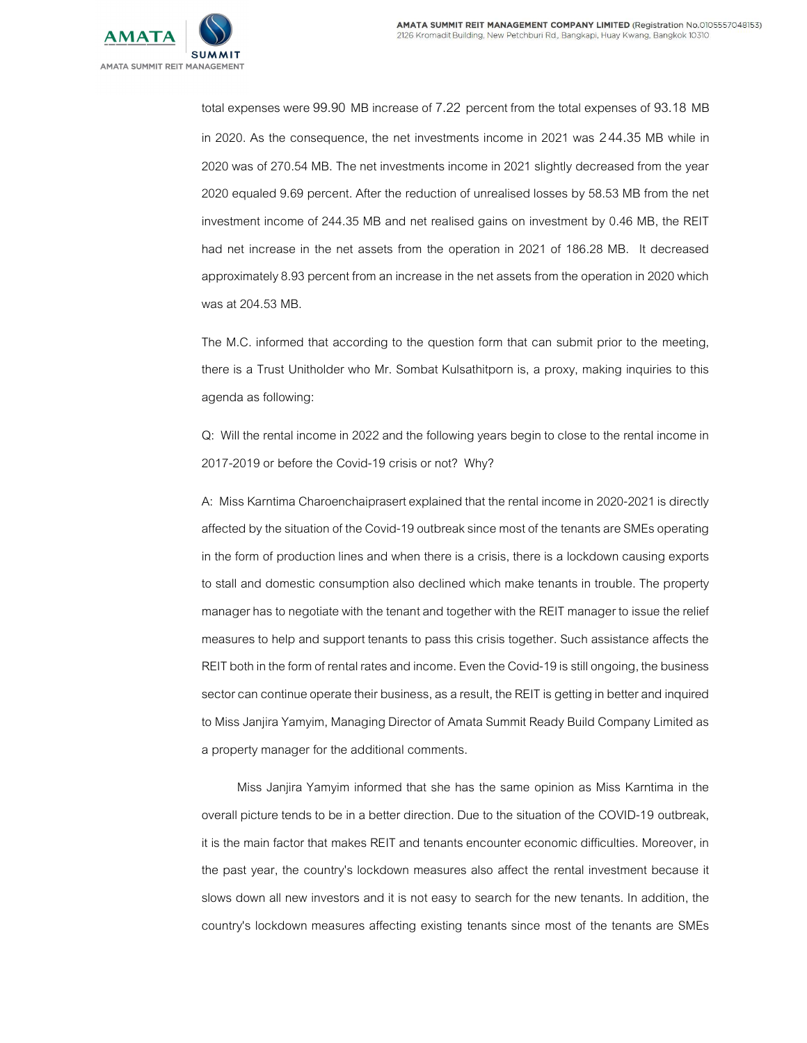

total expenses were 99.90 MB increase of 7.22 percent from the total expenses of 93.18 MB in 2020. As the consequence, the net investments income in 2021 was 2 44.35 MB while in 2020 was of 270.54 MB. The net investments income in 2021 slightly decreased from the year 2020 equaled 9.69 percent. After the reduction of unrealised losses by 58.53 MB from the net investment income of 244.35 MB and net realised gains on investment by 0.46 MB, the REIT had net increase in the net assets from the operation in 2021 of 186.28 MB. It decreased approximately 8.93 percent from an increase in the net assets from the operation in 2020 which was at 204.53 MB.

The M.C. informed that according to the question form that can submit prior to the meeting, there is a Trust Unitholder who Mr. Sombat Kulsathitporn is, a proxy, making inquiries to this agenda as following:

Q: Will the rental income in 2022 and the following years begin to close to the rental income in 2017-2019 or before the Covid-19 crisis or not? Why?

A: Miss Karntima Charoenchaiprasert explained that the rental income in 2020-2021 is directly affected by the situation of the Covid-19 outbreak since most of the tenants are SMEs operating in the form of production lines and when there is a crisis, there is a lockdown causing exports to stall and domestic consumption also declined which make tenants in trouble. The property manager has to negotiate with the tenant and together with the REIT manager to issue the relief measures to help and support tenants to pass this crisis together. Such assistance affects the REIT both in the form of rental rates and income. Even the Covid-19 is still ongoing, the business sector can continue operate their business, as a result, the REIT is getting in better and inquired to Miss Janjira Yamyim, Managing Director of Amata Summit Ready Build Company Limited as a property manager for the additional comments.

Miss Janjira Yamyim informed that she has the same opinion as Miss Karntima in the overall picture tends to be in a better direction. Due to the situation of the COVID-19 outbreak, it is the main factor that makes REIT and tenants encounter economic difficulties. Moreover, in the past year, the country's lockdown measures also affect the rental investment because it slows down all new investors and it is not easy to search for the new tenants. In addition, the country's lockdown measures affecting existing tenants since most of the tenants are SMEs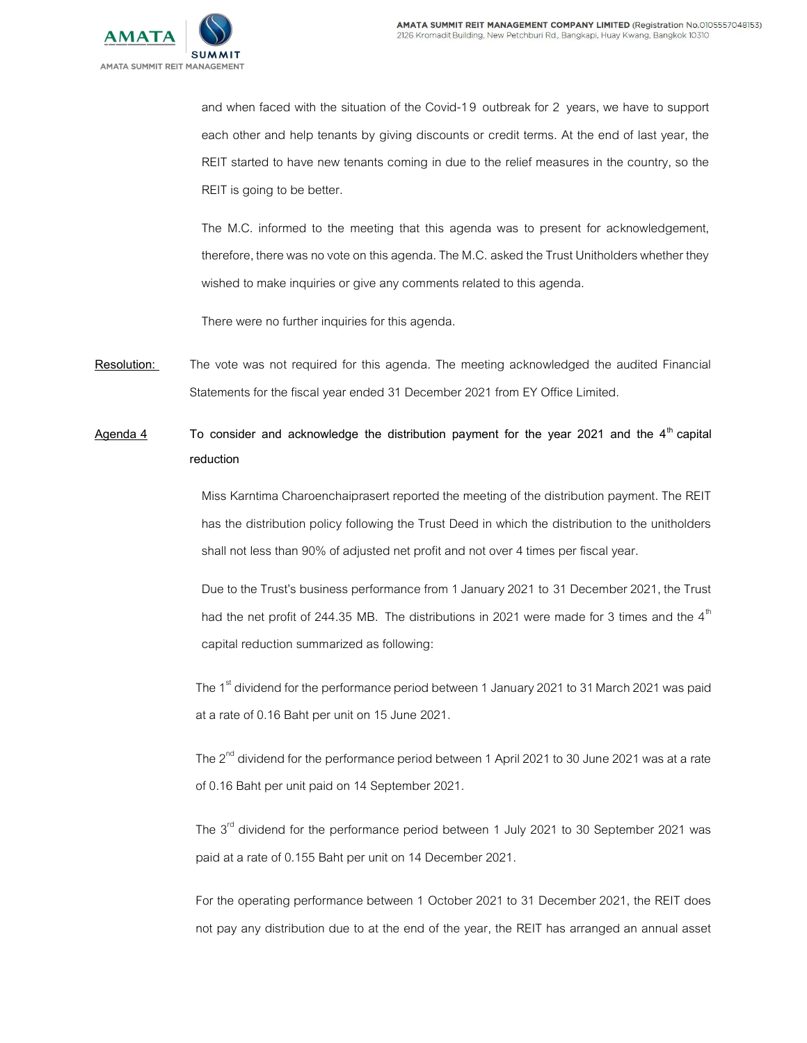

and when faced with the situation of the Covid-19 outbreak for 2 years, we have to support each other and help tenants by giving discounts or credit terms. At the end of last year, the REIT started to have new tenants coming in due to the relief measures in the country, so the REIT is going to be better.

The M.C. informed to the meeting that this agenda was to present for acknowledgement, therefore, there was no vote on this agenda. The M.C. asked the Trust Unitholders whether they wished to make inquiries or give any comments related to this agenda.

There were no further inquiries for this agenda.

Resolution: The vote was not required for this agenda. The meeting acknowledged the audited Financial Statements for the fiscal year ended 31 December 2021 from EY Office Limited.

Agenda 4 To consider and acknowledge the distribution payment for the year 2021 and the  $4<sup>th</sup>$  capital reduction

> Miss Karntima Charoenchaiprasert reported the meeting of the distribution payment. The REIT has the distribution policy following the Trust Deed in which the distribution to the unitholders shall not less than 90% of adjusted net profit and not over 4 times per fiscal year.

> Due to the Trust's business performance from 1 January 2021 to 31 December 2021, the Trust had the net profit of 244.35 MB. The distributions in 2021 were made for 3 times and the  $4<sup>th</sup>$ capital reduction summarized as following:

The 1<sup>st</sup> dividend for the performance period between 1 January 2021 to 31 March 2021 was paid at a rate of 0.16 Baht per unit on 15 June 2021.

The  $2^{nd}$  dividend for the performance period between 1 April 2021 to 30 June 2021 was at a rate of 0.16 Baht per unit paid on 14 September 2021.

The  $3<sup>rd</sup>$  dividend for the performance period between 1 July 2021 to 30 September 2021 was paid at a rate of 0.155 Baht per unit on 14 December 2021.

For the operating performance between 1 October 2021 to 31 December 2021, the REIT does not pay any distribution due to at the end of the year, the REIT has arranged an annual asset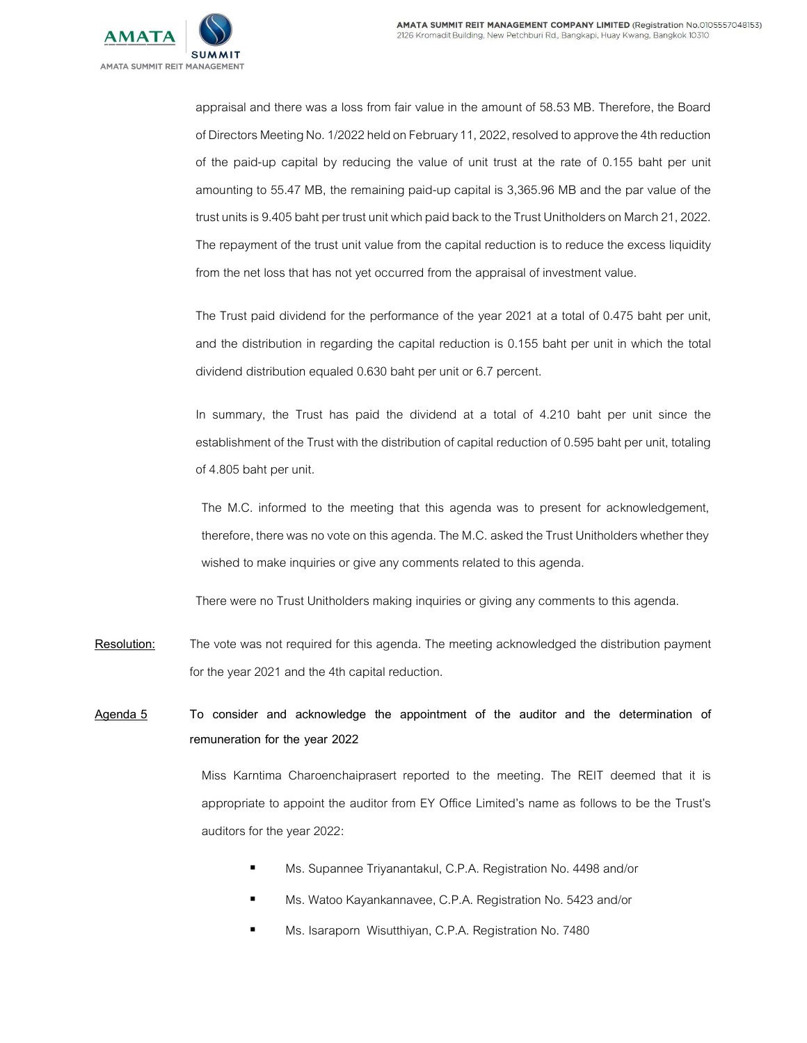

appraisal and there was a loss from fair value in the amount of 58.53 MB. Therefore, the Board of Directors Meeting No. 1/2022 held on February 11, 2022, resolved to approve the 4th reduction of the paid-up capital by reducing the value of unit trust at the rate of 0.155 baht per unit amounting to 55.47 MB, the remaining paid-up capital is 3,365.96 MB and the par value of the trust units is 9.405 baht per trust unit which paid back to the Trust Unitholders on March 21, 2022. The repayment of the trust unit value from the capital reduction is to reduce the excess liquidity from the net loss that has not yet occurred from the appraisal of investment value.

The Trust paid dividend for the performance of the year 2021 at a total of 0.475 baht per unit, and the distribution in regarding the capital reduction is 0.155 baht per unit in which the total dividend distribution equaled 0.630 baht per unit or 6.7 percent.

In summary, the Trust has paid the dividend at a total of 4.210 baht per unit since the establishment of the Trust with the distribution of capital reduction of 0.595 baht per unit, totaling of 4.805 baht per unit.

The M.C. informed to the meeting that this agenda was to present for acknowledgement, therefore, there was no vote on this agenda. The M.C. asked the Trust Unitholders whether they wished to make inquiries or give any comments related to this agenda.

There were no Trust Unitholders making inquiries or giving any comments to this agenda.

Resolution: The vote was not required for this agenda. The meeting acknowledged the distribution payment for the year 2021 and the 4th capital reduction.

Agenda 5 To consider and acknowledge the appointment of the auditor and the determination of remuneration for the year 2022

> Miss Karntima Charoenchaiprasert reported to the meeting. The REIT deemed that it is appropriate to appoint the auditor from EY Office Limited's name as follows to be the Trust's auditors for the year 2022:

- Ms. Supannee Triyanantakul, C.P.A. Registration No. 4498 and/or
- Ms. Watoo Kayankannavee, C.P.A. Registration No. 5423 and/or
- **Ms. Isaraporn Wisutthiyan, C.P.A. Registration No. 7480**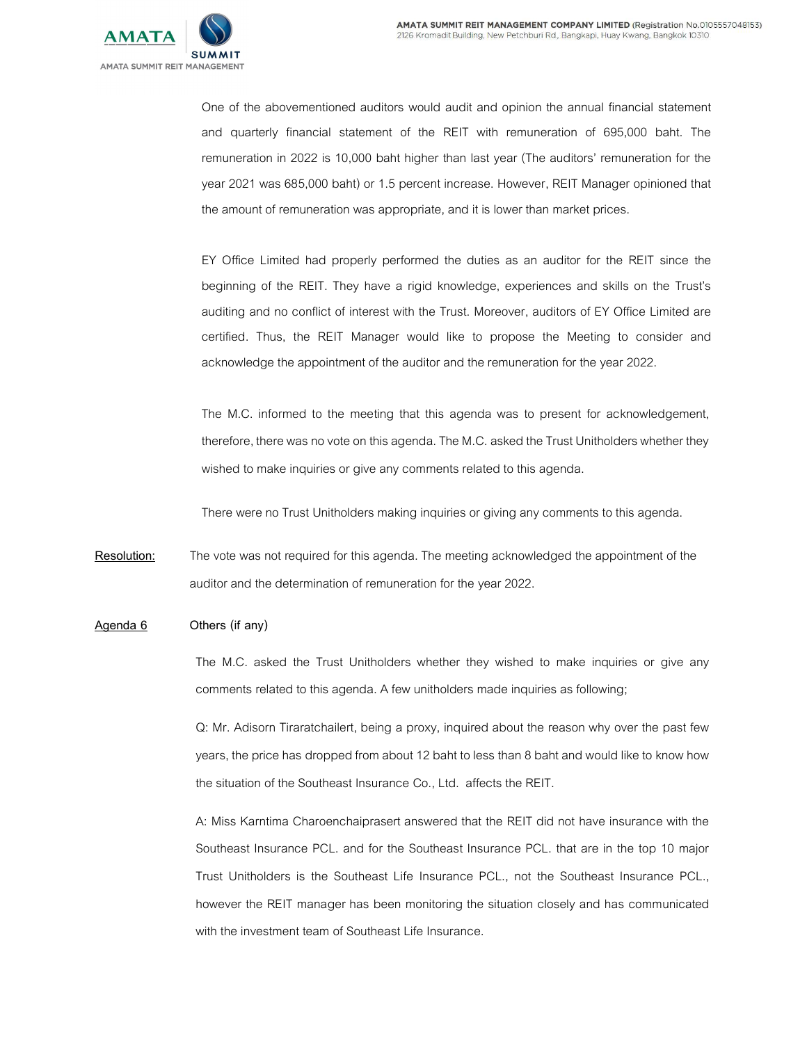

One of the abovementioned auditors would audit and opinion the annual financial statement and quarterly financial statement of the REIT with remuneration of 695,000 baht. The remuneration in 2022 is 10,000 baht higher than last year (The auditors' remuneration for the year 2021 was 685,000 baht) or 1.5 percent increase. However, REIT Manager opinioned that the amount of remuneration was appropriate, and it is lower than market prices.

EY Office Limited had properly performed the duties as an auditor for the REIT since the beginning of the REIT. They have a rigid knowledge, experiences and skills on the Trust's auditing and no conflict of interest with the Trust. Moreover, auditors of EY Office Limited are certified. Thus, the REIT Manager would like to propose the Meeting to consider and acknowledge the appointment of the auditor and the remuneration for the year 2022.

The M.C. informed to the meeting that this agenda was to present for acknowledgement, therefore, there was no vote on this agenda. The M.C. asked the Trust Unitholders whether they wished to make inquiries or give any comments related to this agenda.

There were no Trust Unitholders making inquiries or giving any comments to this agenda.

Resolution: The vote was not required for this agenda. The meeting acknowledged the appointment of the auditor and the determination of remuneration for the year 2022.

 $A$ genda  $6$  Others (if any)

The M.C. asked the Trust Unitholders whether they wished to make inquiries or give any comments related to this agenda. A few unitholders made inquiries as following;

Q: Mr. Adisorn Tiraratchailert, being a proxy, inquired about the reason why over the past few years, the price has dropped from about 12 baht to less than 8 baht and would like to know how the situation of the Southeast Insurance Co., Ltd. affects the REIT.

A: Miss Karntima Charoenchaiprasert answered that the REIT did not have insurance with the Southeast Insurance PCL. and for the Southeast Insurance PCL. that are in the top 10 major Trust Unitholders is the Southeast Life Insurance PCL., not the Southeast Insurance PCL., however the REIT manager has been monitoring the situation closely and has communicated with the investment team of Southeast Life Insurance.